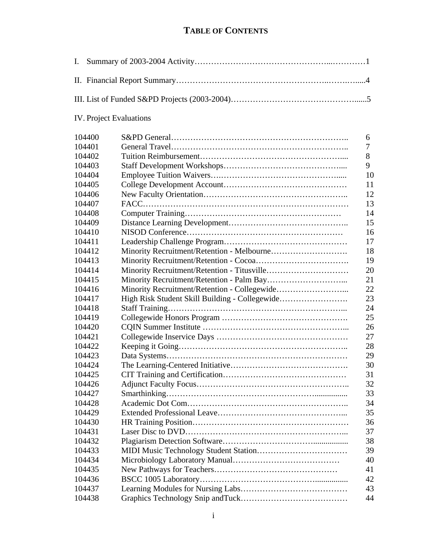## **TABLE OF CONTENTS**

<span id="page-0-0"></span>

## IV. Project Evaluations

| 104400 |                                                | 6  |
|--------|------------------------------------------------|----|
| 104401 |                                                | 7  |
| 104402 |                                                | 8  |
| 104403 |                                                | 9  |
| 104404 |                                                | 10 |
| 104405 |                                                | 11 |
| 104406 |                                                | 12 |
| 104407 |                                                | 13 |
| 104408 |                                                | 14 |
| 104409 |                                                | 15 |
| 104410 |                                                | 16 |
| 104411 |                                                | 17 |
| 104412 |                                                | 18 |
| 104413 |                                                | 19 |
| 104414 |                                                | 20 |
| 104415 |                                                | 21 |
| 104416 |                                                | 22 |
| 104417 | High Risk Student Skill Building - Collegewide | 23 |
| 104418 |                                                | 24 |
| 104419 |                                                | 25 |
| 104420 |                                                | 26 |
| 104421 |                                                | 27 |
| 104422 |                                                | 28 |
| 104423 |                                                | 29 |
| 104424 |                                                | 30 |
| 104425 |                                                | 31 |
| 104426 |                                                | 32 |
| 104427 |                                                | 33 |
| 104428 |                                                | 34 |
| 104429 |                                                | 35 |
| 104430 |                                                | 36 |
| 104431 |                                                | 37 |
| 104432 |                                                | 38 |
| 104433 |                                                | 39 |
| 104434 |                                                | 40 |
| 104435 |                                                | 41 |
| 104436 |                                                | 42 |
| 104437 |                                                | 43 |
| 104438 |                                                | 44 |
|        |                                                |    |